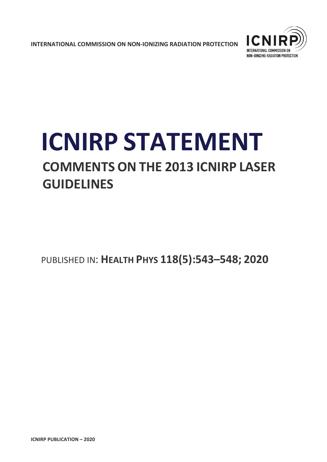**INTERNATIONAL COMMISSION ON NON-IONIZING RADIATION PROTECTION** 



# **ICNIRP STATEMENT COMMENTS ON THE 2013 ICNIRP LASER GUIDELINES**

PUBLISHED IN: **HEALTH PHYS 118(5):543–548; 2020**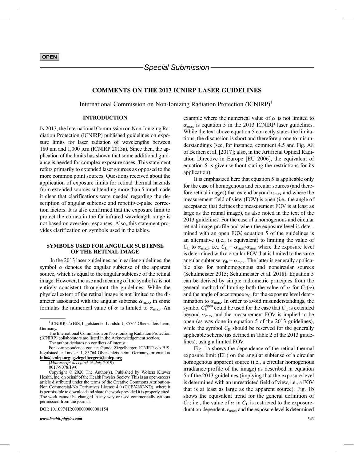## COMMENTS ON THE 2013 ICNIRP LASER GUIDELINES

International Commission on Non-Ionizing Radiation Protection (ICNIRP)<sup>1</sup>

## INTRODUCTION

IN 2013, the International Commission on Non-Ionizing Radiation Protection (ICNIRP) published guidelines on exposure limits for laser radiation of wavelengths between 180 nm and  $1,000 \mu$ m (ICNIRP 2013a). Since then, the application of the limits has shown that some additional guidance is needed for complex exposure cases. This statement refers primarily to extended laser sources as opposed to the more common point sources. Questions received about the application of exposure limits for retinal thermal hazards from extended sources subtending more than 5 mrad made it clear that clarifications were needed regarding the description of angular subtense and repetitive-pulse correction factors. It is also confirmed that the exposure limit to protect the cornea in the far infrared wavelength range is not based on aversion responses. Also, this statement provides clarification on symbols used in the tables.

#### SYMBOLS USED FOR ANGULAR SUBTENSE OF THE RETINAL IMAGE

In the 2013 laser guidelines, as in earlier guidelines, the symbol  $\alpha$  denotes the angular subtense of the apparent source, which is equal to the angular subtense of the retinal image. However, the use and meaning of the symbol  $\alpha$  is not entirely consistent throughout the guidelines. While the physical extent of the retinal image is not limited to the diameter associated with the angular subtense  $\alpha_{\text{max}}$ , in some formulas the numerical value of  $\alpha$  is limited to  $\alpha_{\text{max}}$ . An

(Manuscript accepted 16 July 2019)

0017-9078/19/0

DOI: 10.1097/HP.0000000000001154

[www.health-physics.com](http://www.health-physics.com) 543

example where the numerical value of  $\alpha$  is not limited to  $\alpha_{\text{max}}$  is equation 5 in the 2013 ICNIRP laser guidelines. While the text above equation 5 correctly states the limitations, the discussion is short and therefore prone to misunderstandings (see, for instance, comment 4.5 and Fig. A8 of Berlien et al. [2017]; also, in the Artificial Optical Radiation Directive in Europe [EU 2006], the equivalent of equation 5 is given without stating the restrictions for its application).

It is emphasized here that equation 5 is applicable only for the case of homogenous and circular sources (and therefore retinal images) that extend beyond  $\alpha_{\text{max}}$  and where the measurement field of view (FOV) is open (i.e., the angle of acceptance that defines the measurement FOV is at least as large as the retinal image), as also noted in the text of the 2013 guidelines. For the case of a homogenous and circular retinal image profile and when the exposure level is determined with an open FOV, equation 5 of the guidelines is an alternative (i.e., is equivalent) to limiting the value of  $C_E$  to  $\alpha_{\text{max}}$ ; i.e.,  $C_E = \alpha_{\text{max}}/\alpha_{\text{min}}$  where the exposure level is determined with a circular FOV that is limited to the same angular subtense  $\gamma_{\text{th}} = \alpha_{\text{max}}$ . The latter is generally applicable also for nonhomogenous and noncircular sources (Schulmeister 2015; Schulmeister et al. 2018). Equation 5 can be derived by simple radiometric principles from the general method of limiting both the value of  $\alpha$  for  $C_E(\alpha)$ and the angle of acceptance  $\gamma_{\text{th}}$  for the exposure level determination to  $\alpha_{\text{max}}$ . In order to avoid misunderstandings, the symbol  $C_{\rm E}^{\rm open}$  could be used for the case that  $C_{\rm E}$  is extended beyond  $\alpha_{\text{max}}$  and the measurement FOV is implied to be open (as was done in equation 5 of the 2013 guidelines), while the symbol  $C_E$  should be reserved for the generally applicable scheme (as defined in Table 2 of the 2013 guidelines), using a limited FOV.

Fig. 1a shows the dependence of the retinal thermal exposure limit (EL) on the angular subtense of a circular homogenous apparent source (i.e., a circular homogenous irradiance profile of the image) as described in equation 5 of the 2013 guidelines (implying that the exposure level is determined with an unrestricted field of view, i.e., a FOV that is at least as large as the apparent source). Fig. 1b shows the equivalent trend for the general definition of  $C_{\rm E}$ ; i.e., the value of  $\alpha$  in  $C_{\rm E}$  is restricted to the exposureduration-dependent  $\alpha_{\text{max}}$ , and the exposure level is determined

<sup>&</sup>lt;sup>1</sup>ICNIRP, c/o BfS, Ingolstaedter Landstr. 1, 85764 Oberschleissheim, Germany.

The International Commission on Non-Ionizing Radiation Protection (ICNIRP) collaborators are listed in the Acknowledgement section.

The author declares no conflicts of interest. For correspondence contact Gunde Ziegelberger, ICNIRP c/o BfS,

Ingolstaedter Landstr. 1, 85764 Oberschleissheim, Germany, or email at info@icnirp.org; g.ziegelberger@icnirp.org.

Copyright © 2020 The Author(s). Published by Wolters Kluwer Health, Inc. on behalf of the Health Physics Society. This is an open-access article distributed under the terms of the [Creative Commons Attribution-](http://creativecommons.org/licenses/by-nc-nd/4.0/)[Non Commercial-No Derivatives License 4.0 \(CCBY-NC-ND\),](http://creativecommons.org/licenses/by-nc-nd/4.0/) where it is permissible to download and share the work provided it is properly cited. The work cannot be changed in any way or used commercially without permission from the journal.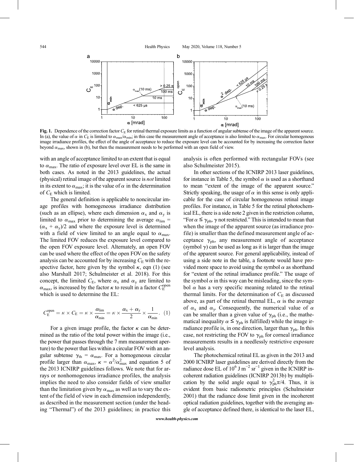

Fig. 1. Dependence of the correction factor  $C<sub>E</sub>$  for retinal thermal exposure limits as a function of angular subtense of the image of the apparent source. In (a), the value of  $\alpha$  in  $C_E$  is limited to  $\alpha_{\text{max}}/\alpha_{\text{min}}$ ; in this case the measurement angle of acceptance is also limited to  $\alpha_{\text{max}}$ . For circular homogenous image irradiance profiles, the effect of the angle of acceptance to reduce the exposure level can be accounted for by increasing the correction factor beyond  $\alpha_{\text{max}}$ , shown in (b), but then the measurement needs to be performed with an open field of view.

with an angle of acceptance limited to an extent that is equal to  $\alpha_{\text{max}}$ . The ratio of exposure level over EL is the same in both cases. As noted in the 2013 guidelines, the actual (physical) retinal image of the apparent source is not limited in its extent to  $\alpha_{\text{max}}$ ; it is the value of  $\alpha$  in the determination of  $C_E$  which is limited.

The general definition is applicable to noncircular image profiles with homogeneous irradiance distribution (such as an ellipse), where each dimension  $\alpha_x$  and  $\alpha_y$  is limited to  $\alpha_{\text{max}}$  prior to determining the average  $\alpha_{\text{lim}} =$  $(\alpha_x + \alpha_y)/2$  and where the exposure level is determined with a field of view limited to an angle equal to  $\alpha_{\text{max}}$ . The limited FOV reduces the exposure level compared to the open FOV exposure level. Alternately, an open FOV can be used where the effect of the open FOV on the safety analysis can be accounted for by increasing  $C_E$  with the respective factor, here given by the symbol  $\kappa$ , eqn (1) (see also Marshall 2017; Schulmeister et al. 2018). For this concept, the limited  $C_{\rm E}$ , where  $\alpha_{\rm x}$  and  $\alpha_{\rm y}$  are limited to  $\alpha_{\text{max}}$ , is increased by the factor  $\kappa$  to result in a factor  $C_{\text{E}}^{\text{open}}$ which is used to determine the EL:

$$
C_{\rm E}^{\rm open} = \kappa \times C_{\rm E} = \kappa \times \frac{\alpha_{\rm lim}}{\alpha_{\rm min}} = \kappa \times \frac{\alpha_{\rm x} + \alpha_{\rm y}}{2} \times \frac{1}{\alpha_{\rm min}}.\ (1)
$$

For a given image profile, the factor  $\kappa$  can be determined as the ratio of the total power within the image (i.e., the power that passes through the 7 mm measurement aperture) to the power that lies within a circular FOV with an angular subtense  $\gamma_{\text{th}} = \alpha_{\text{max}}$ . For a homogeneous circular profile larger than  $\alpha_{\text{max}}$ ,  $\kappa = \alpha^2/\alpha_{\text{max}}^2$  and equation 5 of the 2013 ICNIRP guidelines follows. We note that for arrays or nonhomogenous irradiance profiles, the analysis implies the need to also consider fields of view smaller than the limitation given by  $\alpha_{\text{max}}$  as well as to vary the extent of the field of view in each dimension independently, as described in the measurement section (under the heading "Thermal") of the 2013 guidelines; in practice this analysis is often performed with rectangular FOVs (see also Schulmeister 2015).

In other sections of the ICNIRP 2013 laser guidelines, for instance in Table 5, the symbol  $\alpha$  is used as a shorthand to mean "extent of the image of the apparent source." Strictly speaking, the usage of  $\alpha$  in this sense is only applicable for the case of circular homogeneous retinal image profiles. For instance, in Table 5 for the retinal photochemical EL, there is a side note 2 given in the restriction column, "For  $\alpha \leq \gamma_{\rm ph}$ ,  $\gamma$  not restricted." This is intended to mean that when the image of the apparent source (as irradiance profile) is smaller than the defined measurement angle of acceptance  $\gamma_{ph}$ , any measurement angle of acceptance (symbol  $\gamma$ ) can be used as long as it is larger than the image of the apparent source. For general applicability, instead of using a side note in the table, a footnote would have provided more space to avoid using the symbol  $\alpha$  as shorthand for "extent of the retinal irradiance profile." The usage of the symbol  $\alpha$  in this way can be misleading, since the symbol  $\alpha$  has a very specific meaning related to the retinal thermal limits. For the determination of  $C_E$  as discussed above, as part of the retinal thermal EL,  $\alpha$  is the average of  $\alpha_x$  and  $\alpha_y$ . Consequently, the numerical value of  $\alpha$ can be smaller than a given value of  $\gamma_{ph}$  (i.e., the mathematical inequality  $\alpha \leq \gamma_{ph}$  is fulfilled) while the image irradiance profile is, in one direction, larger than  $\gamma_{ph}$ . In this case, not restricting the FOV to  $\gamma_{ph}$  for corneal irradiance measurements results in a needlessly restrictive exposure level analysis.

The photochemical retinal EL as given in the 2013 and 2000 ICNIRP laser guidelines are derived directly from the radiance dose EL of  $10^6$  J m<sup>-2</sup> sr<sup>-1</sup> given in the ICNIRP incoherent radiation guidelines (ICNIRP 2013b) by multiplication by the solid angle equal to  $\gamma_{ph}^2 \pi/4$ . Thus, it is evident from basic radiometric principles (Schulmeister 2001) that the radiance dose limit given in the incoherent optical radiation guidelines, together with the averaging angle of acceptance defined there, is identical to the laser EL,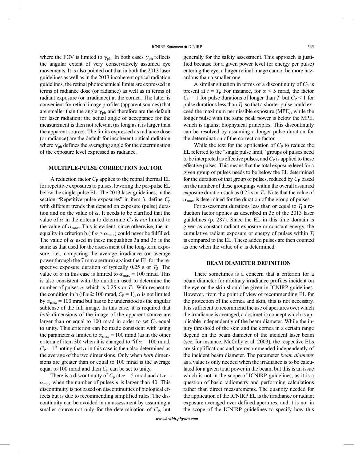where the FOV is limited to  $\gamma_{ph}$ . In both cases  $\gamma_{ph}$  reflects the angular extent of very conservatively assumed eye movements. It is also pointed out that in both the 2013 laser guidelines as well as in the 2013 incoherent optical radiation guidelines, the retinal photochemical limits are expressed in terms of radiance dose (or radiance) as well as in terms of radiant exposure (or irradiance) at the cornea. The latter is convenient for retinal image profiles (apparent sources) that are smaller than the angle  $\gamma_{ph}$  and therefore are the default for laser radiation; the actual angle of acceptance for the measurement is then not relevant (as long as it is larger than the apparent source). The limits expressed as radiance dose (or radiance) are the default for incoherent optical radiation where  $\gamma_{ph}$  defines the averaging angle for the determination of the exposure level expressed as radiance.

## MULTIPLE-PULSE CORRECTION FACTOR

A reduction factor  $C_{\rm P}$  applies to the retinal thermal EL for repetitive exposures to pulses, lowering the per-pulse EL below the single-pulse EL. The 2013 laser guidelines, in the section "Repetitive pulse exposures" in item 3, define  $C_p$ with different trends that depend on exposure (pulse) duration and on the value of  $\alpha$ . It needs to be clarified that the value of  $\alpha$  in the criteria to determine  $C_P$  is *not* limited to the value of  $\alpha_{\text{max}}$ . This is evident, since otherwise, the inequality in criterion b (if  $\alpha > \alpha_{\text{max}}$ ) could never be fulfilled. The value of  $\alpha$  used in these inequalities 3a and 3b is the same as that used for the assessment of the long-term exposure, i.e., comparing the average irradiance (or average power through the 7 mm aperture) against the EL for the respective exposure duration of typically 0.25 s or  $T_2$ . The value of  $\alpha$  in this case is limited to  $\alpha_{\text{max}} = 100$  mrad. This is also consistent with the duration used to determine the number of pulses *n*, which is 0.25 s or  $T_2$ . With respect to the condition in b (if  $\alpha \ge 100$  mrad,  $C_P = 1$ ),  $\alpha$  is not limited by  $\alpha_{\text{max}}$  = 100 mrad but has to be understood as the angular subtense of the full image. In this case, it is required that both dimensions of the image of the apparent source are larger than or equal to 100 mrad in order to set  $C_{P}$  equal to unity. This criterion can be made consistent with using the parameter  $\alpha$  limited to  $\alpha_{\text{max}} = 100$  mrad (as in the other criteria of item 3b) when it is changed to "if  $\alpha$  = 100 mrad,  $C_P = 1$ " noting that  $\alpha$  in this case is then also determined as the average of the two dimensions. Only when both dimensions are greater than or equal to 100 mrad is the average equal to 100 mrad and then  $C_P$  can be set to unity.

There is a discontinuity of  $C_p$  at  $\alpha = 5$  mrad and at  $\alpha =$  $\alpha_{\text{max}}$  when the number of pulses *n* is larger than 40. This discontinuity is not based on discontinuities of biological effects but is due to recommending simplified rules. The discontinuity can be avoided in an assessment by assuming a smaller source not only for the determination of  $C_{P}$ , but

generally for the safety assessment. This approach is justified because for a given power level (or energy per pulse) entering the eye, a larger retinal image cannot be more hazardous than a smaller one.

A similar situation in terms of a discontinuity of  $C_P$  is present at  $t = T_i$ . For instance, for  $\alpha < 5$  mrad, the factor  $C_P = 1$  for pulse durations of longer than  $T_i$  but  $C_P < 1$  for pulse durations less than  $T_i$ , so that a shorter pulse could exceed the maximum permissible exposure (MPE), while the longer pulse with the same peak power is below the MPE, which is against biophysical principles. This discontinuity can be resolved by assuming a longer pulse duration for the determination of the correction factor.

While the text for the application of  $C_{\rm P}$  to reduce the EL referred to the "single pulse limit," groups of pulses need to be interpreted as effective pulses, and  $C<sub>P</sub>$  is applied to these effective pulses. This means that the total exposure level for a given group of pulses needs to be below the EL determined for the duration of that group of pulses, reduced by  $C<sub>P</sub>$  based on the number of these groupings within the overall assumed exposure duration such as  $0.25$  s or  $T_2$ . Note that the value of  $\alpha_{\text{max}}$  is determined for the duration of the group of pulses.

For assessment durations less than or equal to  $T_i$  a reduction factor applies as described in 3c of the 2013 laser guidelines (p. 287). Since the EL in this time domain is given as constant radiant exposure or constant energy, the cumulative radiant exposure or energy of pulses within  $T_i$ is compared to the EL. These added pulses are then counted as one when the value of  $n$  is determined.

#### BEAM DIAMETER DEFINITION

There sometimes is a concern that a criterion for a beam diameter for arbitrary irradiance profiles incident on the eye or the skin should be given in ICNIRP guidelines. However, from the point of view of recommending EL for the protection of the cornea and skin, this is not necessary. It is sufficient to recommend the use of apertures over which the irradiance is averaged, a dosimetric concept which is applicable independently of the beam diameter. While the injury threshold of the skin and the cornea in a certain range depend on the beam diameter of the incident laser beam (see, for instance, McCally et al. 2003), the respective ELs are simplifications and are recommended independently of the incident beam diameter. The parameter beam diameter as a value is only needed when the irradiance is to be calculated for a given total power in the beam, but this is an issue which is not in the scope of ICNIRP guidelines, as it is a question of basic radiometry and performing calculations rather than direct measurements. The quantity needed for the application of the ICNIRP EL is the irradiance or radiant exposure averaged over defined apertures, and it is not in the scope of the ICNIRP guidelines to specify how this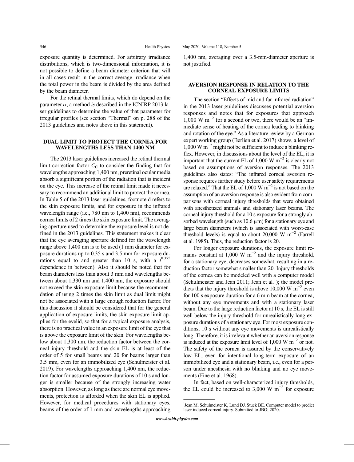exposure quantity is determined. For arbitrary irradiance distributions, which is two-dimensional information, it is not possible to define a beam diameter criterion that will in all cases result in the correct average irradiance when the total power in the beam is divided by the area defined by the beam diameter.

For the retinal thermal limits, which do depend on the parameter  $\alpha$ , a method is described in the ICNIRP 2013 laser guidelines to determine the value of that parameter for irregular profiles (see section "Thermal" on p. 288 of the 2013 guidelines and notes above in this statement).

## DUAL LIMIT TO PROTECT THE CORNEA FOR WAVELENGTHS LESS THAN 1400 NM

The 2013 laser guidelines increased the retinal thermal limit correction factor  $C_{\text{C}}$  to consider the finding that for wavelengths approaching 1,400 nm, preretinal ocular media absorb a significant portion of the radiation that is incident on the eye. This increase of the retinal limit made it necessary to recommend an additional limit to protect the cornea. In Table 5 of the 2013 laser guidelines, footnote d refers to the skin exposure limits, and for exposure in the infrared wavelength range (i.e., 780 nm to 1,400 nm), recommends cornea limits of 2 times the skin exposure limit. The averaging aperture used to determine the exposure level is not defined in the 2013 guidelines. This statement makes it clear that the eye averaging aperture defined for the wavelength range above 1,400 nm is to be used (1 mm diameter for exposure durations up to 0.35 s and 3.5 mm for exposure durations equal to and greater than 10 s, with a  $t^{0.375}$ dependence in between). Also it should be noted that for beam diameters less than about 3 mm and wavelengths between about 1,330 nm and 1,400 nm, the exposure should not exceed the skin exposure limit because the recommendation of using 2 times the skin limit as dual limit might not be associated with a large enough reduction factor. For this discussion it should be considered that for the general application of exposure limits, the skin exposure limit applies for the eyelid, so that for a typical exposure analysis, there is no practical value in an exposure limit of the eye that is above the exposure limit of the skin. For wavelengths below about 1,300 nm, the reduction factor between the corneal injury threshold and the skin EL is at least of the order of 5 for small beams and 20 for beams larger than 3.5 mm, even for an immobilized eye (Schulmeister et al. 2019). For wavelengths approaching 1,400 nm, the reduction factor for assumed exposure durations of 10 s and longer is smaller because of the strongly increasing water absorption. However, as long as there are normal eye movements, protection is afforded when the skin EL is applied. However, for medical procedures with stationary eyes, beams of the order of 1 mm and wavelengths approaching

1,400 nm, averaging over a 3.5-mm-diameter aperture is not justified.

## AVERSION RESPONSE IN RELATION TO THE CORNEAL EXPOSURE LIMITS

The section "Effects of mid and far infrared radiation" in the 2013 laser guidelines discusses potential aversion responses and notes that for exposures that approach  $1,000 \text{ W m}^{-2}$  for a second or two, there would be an "immediate sense of heating of the cornea leading to blinking and rotation of the eye." As a literature review by a German expert working group (Berlien et al. 2017) shows, a level of  $1,000 \text{ W m}^{-2}$  might not be sufficient to induce a blinking reflex. However, in discussions about the level of the EL, it is important that the current EL of 1,000 W  $m^{-2}$  is clearly not based on assumptions of aversion responses. The 2013 guidelines also states: "The infrared corneal aversion response requires further study before user safety requirements are relaxed." That the EL of 1,000 W m−<sup>2</sup> is not based on the assumption of an aversion response is also evident from comparisons with corneal injury thresholds that were obtained with anesthetized animals and stationary laser beams. The corneal injury threshold for a 10 s exposure for a strongly absorbed wavelength (such as  $10.6 \mu m$ ) for a stationary eye and large beam diameters (which is associated with worst-case threshold levels) is equal to about 20,000 W m<sup>-2</sup> (Farrell et al. 1985). Thus, the reduction factor is 20.

For longer exposure durations, the exposure limit remains constant at 1,000 W  $m^{-2}$  and the injury threshold, for a stationary eye, decreases somewhat, resulting in a reduction factor somewhat smaller than 20. Injury thresholds of the cornea can be modeled well with a computer model (Schulmeister and Jean 2011; Jean et al.<sup>1</sup>); the model predicts that the injury threshold is above 10,000 W m<sup>-2</sup> even for 100 s exposure duration for a 6 mm beam at the cornea, without any eye movements and with a stationary laser beam. Due to the large reduction factor at 10 s, the EL is still well below the injury threshold for unrealistically long exposure durations of a stationary eye. For most exposure conditions, 10 s without any eye movements is unrealistically long. Therefore, it is irrelevant whether an aversion response is induced at the exposure limit level of 1,000 W  $m^{-2}$  or not. The safety of the cornea is assured by the conservatively low EL, even for intentional long-term exposure of an immobilized eye and a stationary beam, i.e., even for a person under anesthesia with no blinking and no eye movements (Fine et al. 1968).

In fact, based on well-characterized injury thresholds, the EL could be increased to 3,000 W  $m^{-2}$  for exposure

<sup>&</sup>lt;sup>1</sup>Jean M, Schulmeister K, Lund DJ, Stuck BE. Computer model to predict laser induced corneal injury. Submitted to JBO; 2020.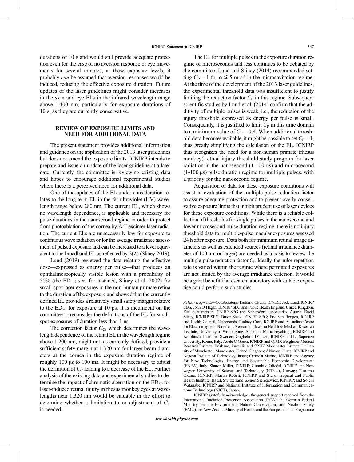durations of 10 s and would still provide adequate protection even for the case of no aversion response or eye movements for several minutes; at these exposure levels, it probably can be assumed that aversion responses would be induced, reducing the effective exposure duration. Future updates of the laser guidelines might consider increases in the skin and eye ELs in the infrared wavelength range above 1,400 nm, particularly for exposure durations of 10 s, as they are currently conservative.

## REVIEW OF EXPOSURE LIMITS AND NEED FOR ADDITIONAL DATA

The present statement provides additional information and guidance on the application of the 2013 laser guidelines but does not amend the exposure limits. ICNIRP intends to prepare and issue an update of the laser guideline at a later date. Currently, the committee is reviewing existing data and hopes to encourage additional experimental studies where there is a perceived need for additional data.

One of the updates of the EL under consideration relates to the long-term EL in the far ultraviolet (UV) wavelength range below 280 nm. The current EL, which shows no wavelength dependence, is applicable and necessary for pulse durations in the nanosecond regime in order to protect from photoablation of the cornea by ArF excimer laser radiation. The current ELs are unnecessarily low for exposure to continuous wave radiation or for the average irradiance assessment of pulsed exposure and can be increased to a level equivalent to the broadband EL as reflected by  $S(\lambda)$  (Sliney 2019).

Lund (2019) reviewed the data relating the effective dose—expressed as energy per pulse—that produces an ophthalmoscopically visible lesion with a probability of  $50\%$  (the  $ED_{50}$ ; see, for instance, Sliney et al. 2002) for small-spot laser exposures in the non-human primate retina to the duration of the exposure and showed that the currently defined EL provides a relatively small safety margin relative to the  $ED_{50}$  for exposure at 10 ps. It is incumbent on the committee to reconsider the definitions of the EL for smallspot exposures of duration less than 1 ns.

The correction factor  $C_{\text{C}}$ , which determines the wavelength dependence of the retinal EL in the wavelength regime above 1,200 nm, might not, as currently defined, provide a sufficient safety margin at 1,320 nm for larger beam diameters at the cornea in the exposure duration regime of roughly 100 μs to 100 ms. It might be necessary to adjust the definition of  $C_{\rm C}$  leading to a decrease of the EL. Further analysis of the existing data and experimental studies to determine the impact of chromatic aberration on the  $ED<sub>50</sub>$  for laser-induced retinal injury in rhesus monkey eyes at wavelengths near 1,320 nm would be valuable in the effort to determine whether a limitation to or adjustment of  $C_{\text{C}}$ is needed.

The EL for multiple pulses in the exposure duration regime of microseconds and less continues to be debated by the committee. Lund and Sliney (2014) recommended setting  $C_P = 1$  for  $\alpha \leq 5$  mrad in the microcavitation regime. At the time of the development of the 2013 laser guidelines, the experimental threshold data was insufficient to justify limiting the reduction factor  $C_{\rm P}$  in this regime. Subsequent scientific studies by Lund et al. (2014) confirm that the additivity of multiple pulses is weak, i.e., the reduction of the injury threshold expressed as energy per pulse is small. Consequently, it is justified to limit  $C<sub>P</sub>$  in this time domain to a minimum value of  $C_P = 0.4$ . When additional threshold data becomes available, it might be possible to set  $C_P = 1$ , thus greatly simplifying the calculation of the EL. ICNIRP thus recognizes the need for a non-human primate (rhesus monkey) retinal injury threshold study program for laser radiation in the nanosecond (1-100 ns) and microsecond (1-100 μs) pulse duration regime for multiple pulses, with a priority for the nanosecond regime.

Acquisition of data for these exposure conditions will assist in evaluation of the multiple-pulse reduction factor to assure adequate protection and to prevent overly conservative exposure limits that inhibit prudent use of laser devices for these exposure conditions. While there is a reliable collection of thresholds for single pulses in the nanosecond and lower microsecond pulse duration regime, there is no injury threshold data for multiple-pulse macular exposures assessed 24 h after exposure. Data both for minimum retinal image diameters as well as extended sources (retinal irradiance diameter of 100 μm or larger) are needed as a basis to review the multiple-pulse reduction factor  $C_{P}$ . Ideally, the pulse repetition rate is varied within the regime where permitted exposures are not limited by the average irradiance criterion. It would be a great benefit if a research laboratory with suitable expertise could perform such studies.

Acknowledgments—Collaborators: Tsutomu Okuno, ICNIRP, Jack Lund, ICNIRP SEG, John O'Hagan, ICNIRP SEG and Public Health England, United Kingdom, Karl Schulmeister, ICNIRP SEG and Seibersdorf Laboratories, Austria; David Sliney, ICNIRP SEG; Bruce Stuck, ICNIRP SEG; Eric van Rongen, ICNIRP and Health Council, Netherlands; Rodney Croft, ICNIRP and Australian Centre for Electromagnetic Bioeffects Research, Illawarra Health & Medical Research Institute, University of Wollongong, Australia; Maria Feychting, ICNIRP and Karolinska Institutet, Sweden; Guglielmo D'Inzeo, ICNIRP and La Sapienza University, Rome, Italy; Adèle C Green, ICNIRP and QIMR Berghofer Medical Research Institute, Brisbane, Australia and CRUK Manchester Institute, University of Manchester, Manchester, United Kingdom; Akimasa Hirata, ICNIRP and Nagoya Institute of Technology, Japan; Carmela Marino, ICNIRP and Agency for New Technologies, Energy and Sustainable Economic Development (ENEA), Italy; Sharon Miller, ICNIRP; Gunnhild Oftedal, ICNIRP and Norwegian University of Science and Technology (NTNU), Norway; Tsutomu Okuno, ICNIRP; Martin Röösli, ICNIRP and Swiss Tropical and Public Health Institute, Basel, Switzerland; Zenon Sienkiewicz, ICNIRP; and Soichi Watanabe, ICNIRP and National Institute of Information and Communications Technology (NICT), Japan.

ICNIRP gratefully acknowledges the general support received from the International Radiation Protection Association (IRPA), the German Federal Ministry for the Environment, Nature Conservation, and Nuclear Safety (BMU), the New Zealand Ministry of Health, and the European Union Programme